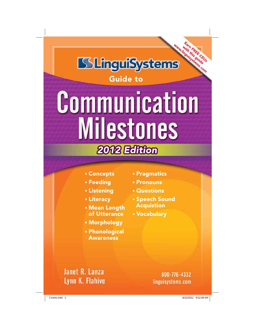## **WWW.With FREECELS SSLinguiSystems**

## **Guide to**

# Communication **Milestones** 2012 Edition

- **Concepts**
- Feeding
- **Listening**
- Literacy
- Mean Length of Utterance
- Morphology
- Phonological **Awareness**
- Pragmatics
- Pronouns
- **Questions**
- Speech Sound Acquistion
- Vocabulary

Janet R. Lanza Lynn K. Flahive

800-776-4332 linguisystems.com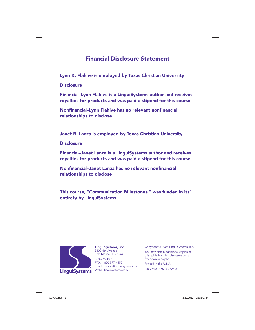## **Financial Disclosure Statement**

**Lynn K. Flahive is employed by Texas Christian University**

**Disclosure**

**Financial–Lynn Flahive is a LinguiSystems author and receives royalties for products and was paid a stipend for this course**

**Nonfinancial–Lynn Flahive has no relevant nonfinancial relationships to disclose**

**Janet R. Lanza is employed by Texas Christian University**

**Disclosure**

**Financial–Janet Lanza is a LinguiSystems author and receives royalties for products and was paid a stipend for this course**

**Nonfinancial–Janet Lanza has no relevant nonfinancial relationships to disclose**

**This course, "Communication Milestones," was funded in its' entirety by LinguiSystems**



**LinguiSystems, Inc.** 3100 4th Avenue East Moline, IL 61244

800-776-4332 FAX: 800-577-4555 Email: service@linguisystems.com Web: linguisystems.com

Copyright © 2008 LinguiSystems, Inc. You may obtain additional copies of this guide from linguisystems.com/ freedownloads.php.

Printed in the U.S.A. ISBN 978-0-7606-0826-5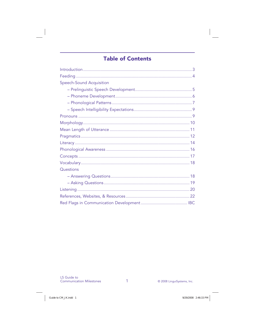## **Table of Contents**

| <b>Speech-Sound Acquisition</b> |
|---------------------------------|
|                                 |
|                                 |
|                                 |
|                                 |
|                                 |
|                                 |
|                                 |
|                                 |
|                                 |
|                                 |
|                                 |
|                                 |
| Questions                       |
|                                 |
|                                 |
|                                 |
|                                 |
|                                 |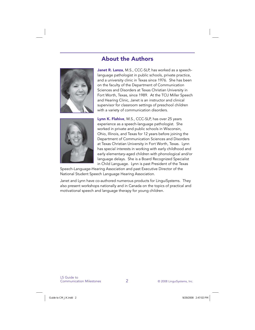## **About the Authors**



**Janet R. Lanza**, M.S., CCC-SLP, has worked as a speechlanguage pathologist in public schools, private practice, and a university clinic in Texas since 1976. She has been on the faculty of the Department of Communication Sciences and Disorders at Texas Christian University in Fort Worth, Texas, since 1989. At the TCU Miller Speech and Hearing Clinic, Janet is an instructor and clinical supervisor for classroom settings of preschool children with a variety of communication disorders.



**Lynn K. Flahive**, M.S., CCC-SLP, has over 25 years experience as a speech-language pathologist. She worked in private and public schools in Wisconsin, Ohio, Illinois, and Texas for 12 years before joining the Department of Communication Sciences and Disorders at Texas Christian University in Fort Worth, Texas. Lynn has special interests in working with early childhood and early elementary-aged children with phonological and/or language delays. She is a Board Recognized Specialist in Child Language. Lynn is past President of the Texas

Speech-Language-Hearing Association and past Executive Director of the National Student Speech Language Hearing Association.

Janet and Lynn have co-authored numerous products for LinguiSystems. They also present workshops nationally and in Canada on the topics of practical and motivational speech and language therapy for young children.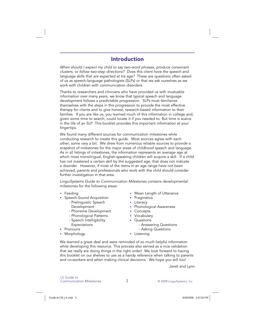## **Introduction**

When should I expect my child to say two-word phrases, produce consonant clusters, or follow two-step directions? Does this client have the speech and language skills that are expected at his age? These are questions often asked of us as speech-language pathologists (SLPs) or that we ask ourselves as we work with children with communication disorders

Thanks to researchers and clinicians who have provided us with invaluable information over many years, we know that typical speech and language development follows a predictable progression. SLPs must familiarize themselves with the steps in this progression to provide the most effective therapy for clients and to give honest, research-based information to their families. If you are like us, you learned much of this information in college and, given some time to search, could locate it if you needed to. But time is scarce in the life of an SLP. This booklet provides this important information at your fingertips.

We found many different sources for communication milestones while conducting research to create this guide. Most sources agree with each other; some vary a bit. We drew from numerous reliable sources to provide a snapshot of milestones for the major areas of childhood speech and language. As in all listings of milestones, the information represents an average age at which most monolingual, English-speaking children will acquire a skill. If a child has not mastered a certain skill by the suggested age, that does not indicate a disorder. However, if most of the items in an age range have not been achieved, parents and professionals who work with the child should consider further investigation in that area.

LinguiSystems Guide to Communication Milestones contains developmental milestones for the following areas:

- Feeding
- Speech-Sound Acquisition
	- Prelinguistic Speech Development
	- Phoneme Development
	- Phonological Patterns
	- Speech Intelligibility **Expectations**
- Pronouns
- Morphology
- Mean Length of Utterance
- Pragmatics
- Literacy
- Phonological Awareness
- Concepts
- Vocabulary
- Questions
	- Answering Questions
	- Asking Questions
- Listening

We learned a great deal and were reminded of so much helpful information while developing this resource. This process also served as a nice validation that we really are doing things in the right order! We look forward to having this booklet on our shelves to use as a handy reference when talking to parents and co-workers and when making clinical decisions. We hope you will too!

Janet and Lynn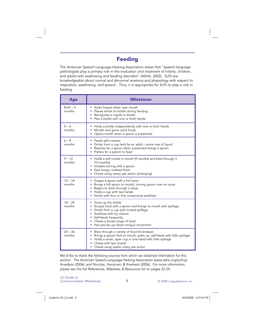## **Feeding**

The American Speech-Language-Hearing Association states that "speech-language pathologists play a primary role in the evaluation and treatment of infants, children, and adults with swallowing and feeding disorders" (ASHA, 2002). SLPs are knowledgeable about normal and abnormal anatomy and physiology with respect to respiration, swallowing, and speech. Thus, it is appropriate for SLPs to play a role in feeding.

| Age                 | <b>Milestones</b>                                                                                                                                                                                                                                                      |
|---------------------|------------------------------------------------------------------------------------------------------------------------------------------------------------------------------------------------------------------------------------------------------------------------|
| $Birth-4$<br>months | • Sucks fingers when near mouth<br>• Places hands on bottle during feeding<br>• Recognizes a nipple or bottle<br>• Pats a bottle with one or both hands                                                                                                                |
| $5 - 6$<br>months   | • Holds a bottle independently with one or both hands<br>• Mouths and gums solid foods<br>• Opens mouth when a spoon is presented                                                                                                                                      |
| $6 - 9$<br>months   | • Feeds self crackers<br>• Drinks from a cup held by an adult - some loss of liquid<br>• Reaches for a spoon when presented/bangs a spoon<br>• Prefers for a parent to feed                                                                                            |
| $9 - 12$<br>months  | • Holds a soft cookie in mouth (9 months) and bites through it<br>$(12$ months)<br>• Imitates stirring with a spoon<br>• Eats lumpy, mashed food<br>• Chews using rotary jaw action (emerging)                                                                         |
| $12 - 18$<br>months | • Grasps a spoon with a full hand<br>• Brings a full spoon to mouth, turning spoon over en route<br>• Begins to drink through a straw<br>• Holds a cup with two hands<br>• Drinks with four or five consecutive swallows                                               |
| $18 - 24$<br>months | • Gives up the bottle<br>• Scoops food with a spoon and brings to mouth with spillage<br>• Drinks from a cup with limited spillage<br>• Swallows with lip closure<br>• Self-feeds frequently<br>• Chews a broad range of food<br>• Has precise up/down tongue movement |
| $24 - 36$<br>months | • Bites through a variety of food thicknesses<br>• Brings a spoon/fork to mouth, palm up, self-feeds with little spillage<br>• Holds a small, open cup in one hand with little spillage<br>• Chews with lips closed<br>• Chews using stable rotary jaw action          |

We'd like to thank the following sources from which we obtained information for this section: The American Speech-Language-Hearing Association (www.asha.org/policy); Arvedson (2006); and Nicolosi, Harryman, & Kresheck (2006). For more information, please see the full References, Websites, & Resources list on pages 22-24.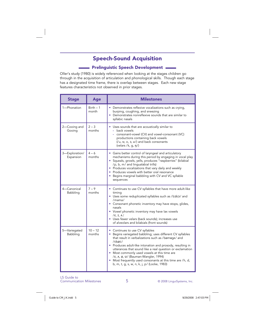## **Speech-Sound Acquisition**

#### **Prelinguistic Speech Development**

Oller's study (1980) is widely referenced when looking at the stages children go through in the acquisition of articulation and phonological skills. Though each stage has a designated time frame, there is overlap between stages. Each new stage features characteristics not observed in prior stages.

| <b>Stage</b>                | Age                  | <b>Milestones</b>                                                                                                                                                                                                                                                                                                                                                                                                                                                                            |
|-----------------------------|----------------------|----------------------------------------------------------------------------------------------------------------------------------------------------------------------------------------------------------------------------------------------------------------------------------------------------------------------------------------------------------------------------------------------------------------------------------------------------------------------------------------------|
| 1-Phonation                 | $Birth - 1$<br>month | • Demonstrates reflexive vocalizations such as crying,<br>burping, coughing, and sneezing<br>• Demonstrates nonreflexive sounds that are similar to<br>syllabic nasals                                                                                                                                                                                                                                                                                                                       |
| 2-Cooing and<br>Gooing      | $2 - 3$<br>months    | • Uses sounds that are acoustically similar to<br>back vowels<br>a.<br>consonant-vowel (CV) and vowel-consonant (VC)<br>productions containing back vowels<br>(/u, u, o, x, a/) and back consonants<br>(velars /k, g, $\eta$ /)                                                                                                                                                                                                                                                              |
| 3-Exploration/<br>Expansion | $4 - 6$<br>months    | • Gains better control of laryngeal and articulatory<br>mechanisms during this period by engaging in vocal play<br>· Squeals, growls, yells, produces "raspberries" (bilabial<br>/p, b, m/ and lingualabial trills)<br>• Produces vocalizations that vary daily and weekly<br>• Produces vowels with better oral resonance<br>• Begins marginal babbling with CV and VC syllable<br>sequences                                                                                                |
| 4-Canonical<br>Babbling     | $7 - 9$<br>months    | • Continues to use CV syllables that have more adult-like<br>timing<br>• Uses some reduplicated syllables such as /bobo/ and<br>/mama/<br>• Consonant phonetic inventory may have stops, glides,<br>nasals<br>• Vowel phonetic inventory may have lax vowels<br>$\ell$ , I, $\Lambda$<br>• Uses fewer velars (back sounds); increases use<br>of alveolars and bilabials (front sounds)                                                                                                       |
| 5-Variegated<br>Babbling    | $10 - 12$<br>months  | • Continues to use CV syllables<br>• Begins variegated babbling; uses different CV syllables<br>that result in verbalizations such as /bamagn/ and<br>/tikati/<br>• Produces adult-like intonation and prosody, resulting in<br>utterances that sound like a real question or exclamation<br>• Most commonly used vowels at this time are<br>/ε, Λ, a, υ/ (Bauman-Wangler, 1994)<br>• Most frequently used consonants at this time are /h, d,<br>b, m, t, g, s, w, n, k, j, p/ (Locke, 1983) |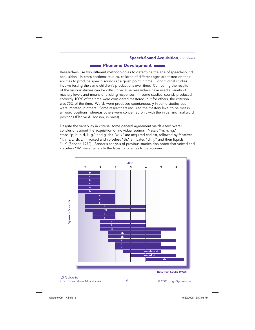#### **Phoneme Development**

Researchers use two different methodologies to determine the age of speech-sound acquisition. In cross-sectional studies, children of different ages are tested on their abilities to produce speech sounds at a given point in time. Longitudinal studies involve testing the same children's productions over time. Comparing the results of the various studies can be difficult because researchers have used a variety of mastery levels and means of eliciting responses. In some studies, sounds produced correctly 100% of the time were considered mastered, but for others, the criterion was 75% of the time. Words were produced spontaneously in some studies but were imitated in others. Some researchers required the mastery level to be met in all word positions, whereas others were concerned only with the initial and final word positions (Flahive & Hodson, in press).

Despite the variability in criteria, some general agreement yields a few overall conclusions about the acquisition of individual sounds. Nasals "m, n, ng," stops "p, b, t, d, k, g," and glides "w, y" are acquired earliest, followed by fricatives "f, v, s, z, sh, zh," voiced and voiceless "th," affricates "ch, j," and then liquids "l, r" (Sander, 1972). Sander's analysis of previous studies also noted that voiced and voiceless "th" were generally the latest phonemes to be acquired.



LS Guide to<br>Communication Milestones

**Data from Sander (1972)**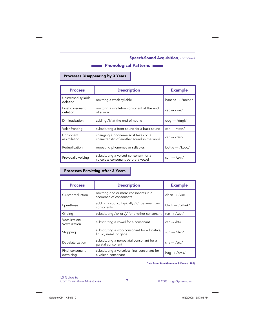#### **Phonological Patterns**

#### **Processes Disappearing by 3 Years**

| <b>Process</b>                  | <b>Description</b>                                                                 | <b>Example</b>                   |
|---------------------------------|------------------------------------------------------------------------------------|----------------------------------|
| Unstressed syllable<br>deletion | omitting a weak syllable                                                           | banana $\rightarrow$ /næna/      |
| Final consonant<br>deletion     | omitting a singleton consonant at the end<br>of a word                             | $cat \rightarrow /k\neq$ /       |
| Diminutization                  | adding /i/ at the end of nouns                                                     | $d$ oq $\rightarrow$ /dagi/      |
| Velar fronting                  | substituting a front sound for a back sound                                        | can $\rightarrow$ /tæn/          |
| Consonant<br>assimilation       | changing a phoneme so it takes on a<br>characteristic of another sound in the word | $cat \rightarrow / \text{tæt}$ / |
| Reduplication                   | repeating phonemes or syllables                                                    | $bottle \rightarrow /b$          |
| Prevocalic voicing              | substituting a voiced consonant for a<br>voiceless consonant before a vowel        | $sun \rightarrow /zan/$          |

#### **Processes Persisting After 3 Years**

| <b>Process</b>                | <b>Description</b>                                                        | <b>Example</b>                        |
|-------------------------------|---------------------------------------------------------------------------|---------------------------------------|
| Cluster reduction             | omitting one or more consonants in a<br>sequence of consonants            | clean $\rightarrow$ /kin/             |
| Epenthesis                    | adding a sound, typically / N, between two<br>consonants                  | $black \rightarrow /b$ Alæk/          |
| Gliding                       | substituting /w/ or /j/ for another consonant                             | run $\rightarrow$ /w $\land$ n/       |
| Vocalization/<br>Vowelization | substituting a vowel for a consonant                                      | car $\rightarrow$ /kə/                |
| Stopping                      | substituting a stop consonant for a fricative,<br>liquid, nasal, or glide | $sun \rightarrow /d$ An/              |
| Depalatalization              | substituting a nonpalatal consonant for a<br>palatal consonant            | $\text{shy} \rightarrow \text{/sat/}$ |
| Final consonant<br>devoicing  | substituting a voiceless final consonant for<br>a voiced consonant        | bag $\rightarrow$ /bæk/               |

#### **Data from Stoel-Gammon & Dunn (1985)**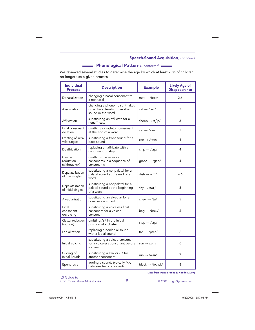#### **Phonological Patterns**, continued **Contract Contract**

We reviewed several studies to determine the age by which at least 75% of children no longer use a given process.

| <b>Individual</b><br><b>Process</b>    | <b>Description</b>                                                                                                      | <b>Example</b>                  | <b>Likely Age of</b><br><b>Disappearance</b> |
|----------------------------------------|-------------------------------------------------------------------------------------------------------------------------|---------------------------------|----------------------------------------------|
| Denasalization                         | changing a nasal consonant to<br>a nonnasal                                                                             | $mat \rightarrow /b$ æt/        | 2.6                                          |
| Assimilation                           | changing a phoneme so it takes<br>on a characteristic of another<br>$cat \rightarrow / \text{tæt}$<br>sound in the word |                                 | 3                                            |
| Affrication                            | substituting an affricate for a<br>nonaffricate                                                                         | sheep $\rightarrow$ /tfip/      | 3                                            |
| Final consonant<br>deletion            | omitting a singleton consonant<br>at the end of a word                                                                  | $cat \rightarrow /kæ/$          | 3                                            |
| Fronting of initial<br>velar singles   | substituting a front sound for a<br>back sound                                                                          | $can \rightarrow /tan/$         | 4                                            |
| Deaffrication                          | replacing an affricate with a<br>continuant or stop                                                                     | chip $\rightarrow$ /sip/        | 4                                            |
| Cluster<br>reduction<br>(without /s/)  | omitting one or more<br>consonants in a sequence of<br>consonants                                                       | grape $\rightarrow$ /gep/       | 4                                            |
| Depalatalization<br>of final singles   | substituting a nonpalatal for a<br>palatal sound at the end of a<br>word                                                | $dist \rightarrow /dt$          | 4.6                                          |
| Depalatalization<br>of initial singles | substituting a nonpalatal for a<br>palatal sound at the beginning<br>of a word                                          | shy $\rightarrow$ /tai/         | 5                                            |
| Alveolarization                        | substituting an alveolar for a<br>nonalveolar sound                                                                     | $chem \rightarrow /tu/$         | 5                                            |
| Final<br>consonant<br>devoicing        | substituting a voiceless final<br>consonant for a voiced<br>consonant                                                   | $bag \rightarrow /back/$        | 5                                            |
| Cluster reduction<br>(with $/s/$ )     | omitting /s/ in the initial<br>position of a cluster                                                                    | step $\rightarrow$ /tεp/        | 5                                            |
| Labialization                          | replacing a nonlabial sound<br>with a labial sound                                                                      | $\tan \rightarrow /p$ æn/       | 6                                            |
| Initial voicing                        | substituting a voiced consonant<br>for a voiceless consonant before<br>a vowel                                          | $sun \rightarrow /z \land n/$   | 6                                            |
| Gliding of<br>initial liquids          | substituting a /w/ or /j/ for<br>another consonant                                                                      | run $\rightarrow$ /w $\land$ n/ | 7                                            |
| Epenthesis                             | adding a sound, typically /A/,<br>between two consonants                                                                | black → /bʌlæk/                 | 8                                            |

**Data from Peña-Brooks & Hegde (2007)**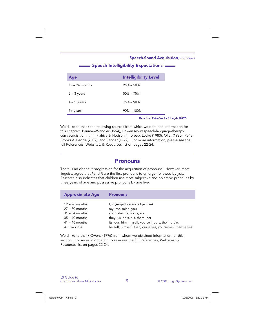| <b>Intelligibility Level</b> |
|------------------------------|
| $25\% - 50\%$                |
| $50\% - 75\%$                |
| $75\% - 90\%$                |
| $90\% - 100\%$               |
|                              |

#### **Speech Intelligibility Expectations**

**Data from Peña-Brooks & Hegde (2007)**

We'd like to thank the following sources from which we obtained information for this chapter: Bauman-Wangler (1994), Bowen (www.speech-language-therapy. com/acquisition.html), Flahive & Hodson (in press), Locke (1983), Oller (1980), Peña-Brooks & Hegde (2007), and Sander (1972). For more information, please see the full References, Websites, & Resources list on pages 22-24.

### **Pronouns**

There is no clear-cut progression for the acquisition of pronouns. However, most linguists agree that I and it are the first pronouns to emerge, followed by you. Research also indicates that children use most subjective and objective pronouns by three years of age and possessive pronouns by age five.

| <b>Approximate Age</b>                                                                           | <b>Pronouns</b>                                                                                                                                                             |
|--------------------------------------------------------------------------------------------------|-----------------------------------------------------------------------------------------------------------------------------------------------------------------------------|
| $12 - 26$ months<br>$27 - 30$ months<br>$31 - 34$ months<br>$35 - 40$ months<br>$41 - 46$ months | I, it (subjective and objective)<br>my, me, mine, you<br>your, she, he, yours, we<br>they, us, hers, his, them, her<br>its, our, him, myself, yourself, ours, their, theirs |
| $47+$ months                                                                                     | herself, himself, itself, ourselves, yourselves, themselves                                                                                                                 |

We'd like to thank Owens (1996) from whom we obtained information for this section. For more information, please see the full References, Websites, & Resources list on pages 22-24.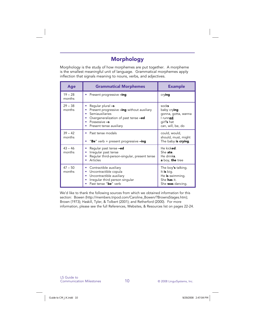## **Morphology**

Morphology is the study of how morphemes are put together. A morpheme is the smallest meaningful unit of language. Grammatical morphemes apply inflection that signals meaning to nouns, verbs, and adjectives.

| Age                 | <b>Grammatical Morphemes</b>                                                                                                                                                | <b>Example</b>                                                                              |
|---------------------|-----------------------------------------------------------------------------------------------------------------------------------------------------------------------------|---------------------------------------------------------------------------------------------|
| $19 - 28$<br>months | Present progressive <b>-ing</b>                                                                                                                                             | crying                                                                                      |
| $29 - 38$<br>months | Regular plural -s<br>٠<br>Present progressive -ing without auxiliary<br>Semiauxiliaries<br>Overgeneralization of past tense -ed<br>Possessive -s<br>Present tense auxiliary | socks<br>baby crying<br>gonna, gotta, wanna<br>I runned.<br>girl's hat<br>can, will, be, do |
| $39 - 42$<br>months | Past tense modals<br>۰<br>"Be" verb + present progressive $-\text{ing}$<br>٠                                                                                                | could, would,<br>should, must, might<br>The baby is crying.                                 |
| $43 - 46$<br>months | Regular past tense -ed<br>Irregular past tense<br>Regular third-person-singular, present tense<br>Articles                                                                  | He kick <b>ed</b> .<br>She ate.<br>He drinks.<br>a boy, the tree                            |
| $47 - 50$<br>months | Contractible auxiliary<br>۰<br>Uncontractible copula<br>۰<br>Uncontractible auxiliary<br>۰<br>Irregular third person singular<br>Past tense "be" verb                       | The boy's talking.<br>It is big.<br>He is swimming.<br>She has it.<br>She was dancing.      |

We'd like to thank the following sources from which we obtained information for this section: Bowen (http://members.tripod.com/Caroline\_Bowen/?BrownsStages.htm); Brown (1973); Haskill, Tyler, & Tolbert (2001); and Retherford (2000). For more information, please see the full References, Websites, & Resources list on pages 22-24.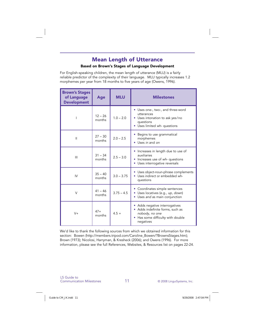## **Mean Length of Utterance**

#### **Based on Brown's Stages of Language Development**

For English-speaking children, the mean length of utterance (MLU) is a fairly reliable predictor of the complexity of their language. MLU typically increases 1.2 morphemes per year from 18 months to five years of age (Owens, 1996).

| <b>Brown's Stages</b><br>of Language<br><b>Development</b> | Age                 | <b>MLU</b>   | <b>Milestones</b>                                                                                                                      |
|------------------------------------------------------------|---------------------|--------------|----------------------------------------------------------------------------------------------------------------------------------------|
|                                                            | $12 - 26$<br>months | $1.0 - 2.0$  | • Uses one-, two-, and three-word<br>utterances<br>• Uses intonation to ask yes/no<br>questions<br>· Uses limited wh- questions        |
| $\mathbf{II}$                                              | $27 - 30$<br>months | $2.0 - 2.5$  | Begins to use grammatical<br>morphemes<br>• Uses in and on                                                                             |
| III                                                        | $31 - 34$<br>months | $2.5 - 3.0$  | • Increases in length due to use of<br>auxiliaries<br>• Increases use of wh- questions<br>• Uses interrogative reversals               |
| IV                                                         | $35 - 40$<br>months | $3.0 - 3.75$ | • Uses object-noun-phrase complements<br>• Uses indirect or embedded wh-<br>questions                                                  |
| $\vee$                                                     | $41 - 46$<br>months | $3.75 - 4.5$ | • Coordinates simple sentences<br>· Uses locatives (e.g., up, down)<br>• Uses and as main conjunction                                  |
| $V +$                                                      | $47+$<br>months     | $4.5 +$      | • Adds negative interrogatives<br>• Adds indefinite forms, such as<br>nobody, no one<br>• Has some difficulty with double<br>negatives |

We'd like to thank the following sources from which we obtained information for this section: Bowen (http://members.tripod.com/Caroline\_Bowen/?BrownsStages.htm); Brown (1973); Nicolosi, Harryman, & Kresheck (2006); and Owens (1996). For more information, please see the full References, Websites, & Resources list on pages 22-24.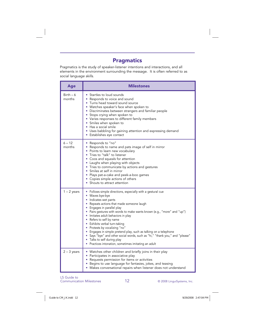## **Pragmatics**

Pragmatics is the study of speaker-listener intentions and interactions, and all elements in the environment surrounding the message. It is often referred to as social language skills.

| Age                  | <b>Milestones</b>                                                                                                                                                                                                                                                                                                                                                                                                                                                                                                                                                                                                                  |
|----------------------|------------------------------------------------------------------------------------------------------------------------------------------------------------------------------------------------------------------------------------------------------------------------------------------------------------------------------------------------------------------------------------------------------------------------------------------------------------------------------------------------------------------------------------------------------------------------------------------------------------------------------------|
| Birth $-6$<br>months | • Startles to loud sounds<br>• Responds to voice and sound<br>• Turns head toward sound source<br>• Watches speaker's face when spoken to<br>• Discriminates between strangers and familiar people<br>• Stops crying when spoken to<br>• Varies responses to different family members<br>• Smiles when spoken to<br>• Has a social smile<br>• Uses babbling for gaining attention and expressing demand<br>• Establishes eye contact                                                                                                                                                                                               |
| $6 - 12$<br>months   | • Responds to "no"<br>• Responds to name and pats image of self in mirror<br>• Points to learn new vocabulary<br>• Tries to "talk" to listener<br>• Coos and squeals for attention<br>• Laughs when playing with objects<br>• Tries to communicate by actions and gestures<br>• Smiles at self in mirror<br>• Plays pat-a-cake and peek-a-boo games<br>• Copies simple actions of others<br>• Shouts to attract attention                                                                                                                                                                                                          |
| $1 - 2$ years        | • Follows simple directions, especially with a gestural cue<br>Waves bye-bye<br>Indicates wet pants<br>Repeats actions that made someone laugh<br>Engages in parallel play<br>• Pairs gestures with words to make wants known (e.g., "more" and "up")<br>• Imitates adult behaviors in play<br>• Refers to self by name<br>• Exhibits verbal turn-taking<br>• Protests by vocalizing "no"<br>• Engages in simple pretend play, such as talking on a telephone<br>• Says "bye" and other social words, such as "hi," "thank you," and "please"<br>• Talks to self during play<br>Practices intonation, sometimes imitating an adult |
| $2 - 3$ years        | • Watches other children and briefly joins in their play<br>• Participates in associative play<br>• Requests permission for items or activities<br>Begins to use language for fantasies, jokes, and teasing<br>• Makes conversational repairs when listener does not understand                                                                                                                                                                                                                                                                                                                                                    |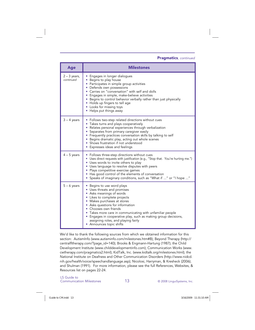**Pragmatics**, continued

| Age                         | <b>Milestones</b>                                                                                                                                                                                                                                                                                                                                                                                               |
|-----------------------------|-----------------------------------------------------------------------------------------------------------------------------------------------------------------------------------------------------------------------------------------------------------------------------------------------------------------------------------------------------------------------------------------------------------------|
| $2 - 3$ years,<br>continued | • Engages in longer dialogues<br>• Begins to play house<br>• Participates in simple group activities<br>• Defends own possessions<br>• Carries on "conversation" with self and dolls<br>• Engages in simple, make-believe activities<br>• Begins to control behavior verbally rather than just physically<br>• Holds up fingers to tell age<br>• Looks for missing toys<br>• Helps put things away              |
| $3 - 4$ years               | • Follows two-step related directions without cues<br>Takes turns and plays cooperatively<br>• Relates personal experiences through verbalization<br>• Separates from primary caregiver easily<br>• Frequently practices conversation skills by talking to self<br>• Begins dramatic play, acting out whole scenes<br>• Shows frustration if not understood<br>• Expresses ideas and feelings                   |
| $4 - 5$ years               | • Follows three-step directions without cues<br>Uses direct requests with justification (e.g., "Stop that. You're hurting me.")<br>• Uses words to invite others to play<br>• Uses language to resolve disputes with peers<br>Plays competitive exercise games<br>Has good control of the elements of conversation<br>Speaks of imaginary conditions, such as "What if " or "I hope "                           |
| $5 - 6$ years               | Begins to use word plays<br>• Uses threats and promises<br>• Asks meanings of words<br>• Likes to complete projects<br>• Makes purchases at stores<br>• Asks questions for information<br>• Chooses own friends<br>Takes more care in communicating with unfamiliar people<br>• Engages in cooperative play, such as making group decisions,<br>assigning roles, and playing fairly<br>• Announces topic shifts |

We'd like to thank the following sources from which we obtained information for this section: AutismInfo (www.autisminfo.com/milestones.htm#B); Beyond Therapy (http:// centralfltherapy.com/?page\_id=140); Brooks & Engmann-Hartung (1987); the Child Development Institute (www.childdevelopmentinfo.com); Communication Works (www. cwtherapy.com/pragmatics2.html); KidTalk, Inc. (www.kidtalk.org/milestones.html); the National Institute on Deafness and Other Communication Disorders (http://www.nidcd. nih.gov/health/voice/speechandlanguage.asp); Nicolosi, Harryman, & Kresheck (2006); and Shulman (1991). For more information, please see the full References, Websites, & Resources list on pages 22-24.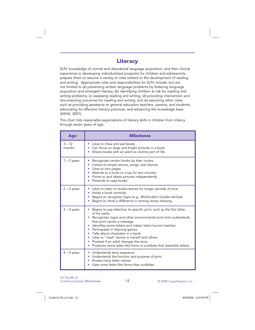## **Literacy**

SLPs' knowledge of normal and disordered language acquisition, and their clinical experience in developing individualized programs for children and adolescents, prepare them to assume a variety of roles related to the development of reading and writing. Appropriate roles and responsibilities for SLPs include, but are not limited to (a) preventing written language problems by fostering language acquisition and emergent literacy; (b) identifying children at risk for reading and writing problems; (c) assessing reading and writing; (d) providing intervention and documenting outcomes for reading and writing; and (e) assuming other roles, such as providing assistance to general education teachers, parents, and students; advocating for effective literacy practices; and advancing the knowledge base (ASHA, 2001).

| Age                | <b>Milestones</b>                                                                                                                                                                                                                                                                                                                                                                                                                                                                         |
|--------------------|-------------------------------------------------------------------------------------------------------------------------------------------------------------------------------------------------------------------------------------------------------------------------------------------------------------------------------------------------------------------------------------------------------------------------------------------------------------------------------------------|
| $3 - 12$<br>months | Likes to chew and pat books<br>$\bullet$<br>Can focus on large and bright pictures in a book<br>Shares books with an adult as routine part of life                                                                                                                                                                                                                                                                                                                                        |
| $1 - 2$ years      | Recognizes certain books by their covers<br>Listens to simple stories, songs, and rhymes<br>Likes to turn pages<br>Attends to a book or a toy for two minutes<br>• Points to and labels pictures independently<br>Pretends to read books                                                                                                                                                                                                                                                  |
| $2 - 3$ years      | Likes to listen to books/stories for longer periods of time<br>Holds a book correctly<br>Begins to recognize logos (e.g., McDonald's Golden Arches)<br>Begins to show a difference in writing versus drawing                                                                                                                                                                                                                                                                              |
| $3 - 4$ years      | Begins to pay attention to specific print, such as the first letter<br>of his name<br>Recognizes logos and other environmental print and understands<br>۰<br>that print carries a message<br>Identifies some letters and makes letter/sound matches<br>Participates in rhyming games<br>Talks about characters in a book<br>Likes to "read" stories to herself and others<br>Protests if an adult changes the story<br>Produces some letter-like forms in scribbles that resemble letters |
| $4 - 5$ years      | • Understands story sequence<br>• Understands the function and purpose of print<br>Knows many letter names<br>$\bullet$<br>Uses more letter-like forms than scribbles                                                                                                                                                                                                                                                                                                                     |

This chart lists reasonable expectations of literacy skills in children from infancy through seven years of age.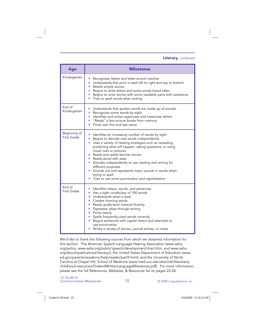#### **Literacy**, continued

| Age                                | <b>Milestones</b>                                                                                                                                                                                                                                                                                                                                                                                                                                                                                                                   |
|------------------------------------|-------------------------------------------------------------------------------------------------------------------------------------------------------------------------------------------------------------------------------------------------------------------------------------------------------------------------------------------------------------------------------------------------------------------------------------------------------------------------------------------------------------------------------------|
| Kindergarten                       | Recognizes letters and letter-sound matches<br>Understands that print is read left to right and top to bottom<br>Retells simple stories<br>$\bullet$<br>Begins to write letters and some words heard often<br>$\bullet$<br>Begins to write stories with some readable parts with assistance<br>Tries to spell words when writing                                                                                                                                                                                                    |
| End of<br>Kindergarten             | Understands that spoken words are made up of sounds<br>Recognizes some words by sight<br>Identifies and writes uppercase and lowercase letters<br>"Reads" a few picture books from memory<br>Prints own first and last name                                                                                                                                                                                                                                                                                                         |
| Beginning of<br><b>First Grade</b> | • Identifies an increasing number of words by sight<br>Begins to decode new words independently<br>Uses a variety of reading strategies such as rereading,<br>۰<br>predicting what will happen, asking questions, or using<br>visual cues or pictures<br>Reads and retells familiar stories<br>Reads aloud with ease<br>Decides independently to use reading and writing for<br>different purposes<br>• Sounds out and represents major sounds in words when<br>trying to spell<br>Tries to use some punctuation and capitalization |
| End of<br><b>First Grade</b>       | Identifies letters, words, and sentences<br>۰<br>• Has a sight vocabulary of 100 words<br>Understands what is read<br>• Creates rhyming words<br>Reads grade-level material fluently<br>$\bullet$<br>Expresses ideas through writing<br>Prints clearly<br>Spells frequently-used words correctly<br>Begins sentences with capital letters and attempts to<br>use punctuation<br>Writes a variety of stories, journal entries, or notes                                                                                              |

We'd like to thank the following sources from which we obtained information for this section: The American Speech-Language-Hearing Association (www.asha. org/policy, www.asha.org/public/speech/development/chart.htm, and www.asha. org/about/publications/literacy/); the United States Department of Education (www. ed.gov/parents/academic/help/reader/part9.html); and the University of North Carolina at Chapel Hill, School of Medicine (www.med.unc.edu/ahs/clds/files/earlychildhood-resources/OralandWrittenLanguageMilestones.pdf). For more information, please see the full References, Websites, & Resources list on pages 22-24.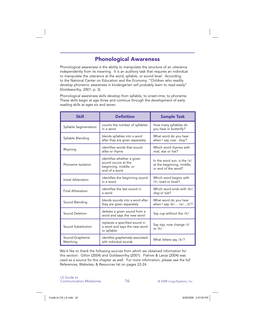## **Phonological Awareness**

Phonological awareness is the ability to manipulate the structure of an utterance independently from its meaning. It is an auditory task that requires an individual to manipulate the utterance at the word, syllable, or sound level. According to the National Center on Education and the Economy, "Children who readily develop phonemic awareness in kindergarten will probably learn to read easily" (Goldsworthy, 2001, p. 3).

Phonological awareness skills develop from syllable, to onset-rime, to phoneme. These skills begin at age three and continue through the development of early reading skills at ages six and seven.

| <b>Skill</b>               | <b>Definition</b>                                                                           | <b>Sample Task</b>                                                              |
|----------------------------|---------------------------------------------------------------------------------------------|---------------------------------------------------------------------------------|
| Syllable Segmentation      | counts the number of syllables<br>in a word                                                 | How many syllables do<br>you hear in butterfly?                                 |
| Syllable Blending          | blends syllables into a word<br>after they are given separately                             | What word do you hear<br>when I say cowboy?                                     |
| Rhyming                    | identifies words that sound<br>alike or rhyme                                               | Which word rhymes with<br>mat; star or hat?                                     |
| Phoneme Isolation          | identifies whether a given<br>sound occurs at the<br>beginning, middle, or<br>end of a word | In the word sun, is the /s/<br>at the beginning, middle,<br>or end of the word? |
| Initial Alliteration       | identifies the beginning sound<br>in a word                                                 | Which word begins with<br>/t/; toad or boat?                                    |
| <b>Final Alliteration</b>  | identifies the last sound in<br>a word                                                      | Which word ends with /b/;<br>dog or tub?                                        |
| Sound Blending             | blends sounds into a word after<br>they are given separately                                | What word do you hear<br>when I say /b/ /a//t/?                                 |
| Sound Deletion             | deletes a given sound from a<br>word and says the new word                                  | Say cup without the $/k/$ .                                                     |
| Sound Substitution         | replaces a specified sound in<br>a word and says the new word<br>or syllable                | Say top; now change /t/<br>to $/h/$ .                                           |
| Sound-Grapheme<br>Matching | identifies grapheme(s) associated<br>with individual sounds                                 | What letters say /k/?                                                           |

We'd like to thank the following sources from which we obtained information for this section: Gillon (2004) and Goldsworthy (2001). Flahive & Lanza (2004) was used as a source for this chapter as well. For more information, please see the full References, Websites, & Resources list on pages 22-24.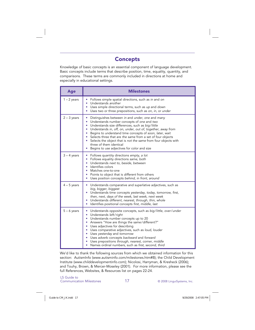## **Concepts**

Knowledge of basic concepts is an essential component of language development. Basic concepts include terms that describe position, time, equality, quantity, and comparisons. These terms are commonly included in directions at home and especially in educational settings.

| Age           | <b>Milestones</b>                                                                                                                                                                                                                                                                                                                                                                                                                                                                                               |
|---------------|-----------------------------------------------------------------------------------------------------------------------------------------------------------------------------------------------------------------------------------------------------------------------------------------------------------------------------------------------------------------------------------------------------------------------------------------------------------------------------------------------------------------|
| $1 - 2$ years | Follows simple spatial directions, such as in and on<br>Understands another<br>Uses simple directional terms, such as up and down<br>Uses two or three prepositions, such as on, in, or under                                                                                                                                                                                                                                                                                                                   |
| $2 - 3$ years | Distinguishes between in and under, one and many<br>$\bullet$<br>Understands number concepts of one and two<br>٠<br>Understands size differences, such as big/little<br>Understands in, off, on, under, out of, together, away from<br>Begins to understand time concepts of soon, later, wait<br>Selects three that are the same from a set of four objects<br>• Selects the object that is not the same from four objects with<br>three of them identical<br>Begins to use adjectives for color and size<br>٠ |
| $3 - 4$ years | Follows quantity directions empty, a lot<br>۰<br>• Follows equality directions same, both<br>Understands next to, beside, between<br>Identifies colors<br>Matches one-to-one<br>• Points to object that is different from others<br>Uses position concepts behind, in front, around                                                                                                                                                                                                                             |
| $4 - 5$ years | Understands comparative and superlative adjectives, such as<br>big, bigger, biggest<br>• Understands time concepts yesterday, today, tomorrow, first,<br>then, next, days of the week, last week, next week<br>Understands different, nearest, through, thin, whole<br>٠<br>Identifies positional concepts first, middle, last<br>٠                                                                                                                                                                             |
| $5 - 6$ years | Understands opposite concepts, such as big/little, over/under<br>٠<br>Understands left/right<br>• Understands number concepts up to 20<br>• Answers "How are things the same/different?"<br>• Uses adjectives for describing<br>• Uses comparative adjectives, such as loud, louder<br>Uses yesterday and tomorrow<br>• Uses adverb concepts backward and forward<br>Uses prepositions through, nearest, corner, middle<br>Names ordinal numbers, such as first, second, third                                  |

We'd like to thank the following sources from which we obtained information for this section: AutismInfo (www.autisminfo.com/milestones.htm#B); the Child Development Institute (www.childdevelopmentinfo.com); Nicolosi, Harryman, & Kresheck (2006); and Touhy, Brown, & Mercer-Moseley (2001). For more information, please see the full References, Websites, & Resources list on pages 22-24.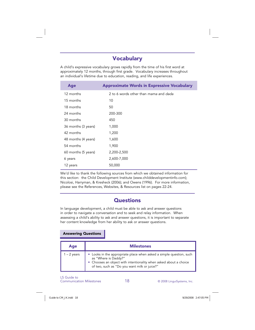## **Vocabulary**

A child's expressive vocabulary grows rapidly from the time of his first word at approximately 12 months, through first grade. Vocabulary increases throughout an individual's lifetime due to education, reading, and life experiences.

| Age                 | <b>Approximate Words in Expressive Vocabulary</b> |
|---------------------|---------------------------------------------------|
| 12 months           | 2 to 6 words other than mama and dada             |
| 15 months           | 10                                                |
| 18 months           | 50                                                |
| 24 months           | 200-300                                           |
| 30 months           | 450                                               |
| 36 months (3 years) | 1,000                                             |
| 42 months           | 1,200                                             |
| 48 months (4 years) | 1,600                                             |
| 54 months           | 1,900                                             |
| 60 months (5 years) | 2,200-2,500                                       |
| 6 years             | 2,600-7,000                                       |
| 12 years            | 50,000                                            |

We'd like to thank the following sources from which we obtained information for this section: the Child Development Institute (www.childdevelopmentinfo.com); Nicolosi, Harryman, & Kresheck (2006); and Owens (1996). For more information, please see the References, Websites, & Resources list on pages 22-24.

## **Questions**

In language development, a child must be able to ask and answer questions in order to navigate a conversation and to seek and relay information. When assessing a child's ability to ask and answer questions, it is important to separate her content knowledge from her ability to ask or answer questions.

#### **Answering Questions**

| Age        | <b>Milestones</b>                                                                                                                                                                                                |
|------------|------------------------------------------------------------------------------------------------------------------------------------------------------------------------------------------------------------------|
| $-2$ years | • Looks in the appropriate place when asked a simple question, such<br>as "Where is Daddy?"<br>• Chooses an object with intentionality when asked about a choice<br>of two, such as "Do you want milk or juice?" |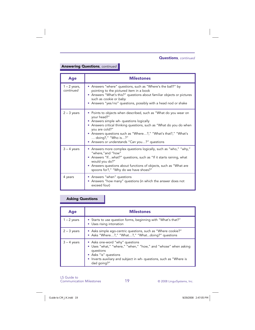#### **Questions**, continued

#### **Answering Questions**, continued

| Age                         | <b>Milestones</b>                                                                                                                                                                                                                                                                                                                                          |
|-----------------------------|------------------------------------------------------------------------------------------------------------------------------------------------------------------------------------------------------------------------------------------------------------------------------------------------------------------------------------------------------------|
| $1 - 2$ years,<br>continued | • Answers "where" questions, such as "Where's the ball?" by<br>pointing to the pictured item in a book<br>• Answers "What's this?" questions about familiar objects or pictures<br>such as cookie or baby<br>• Answers "yes/no" questions, possibly with a head nod or shake                                                                               |
| $2 - 3$ years               | • Points to objects when described, such as "What do you wear on<br>your head?"<br>• Answers simple wh- questions logically<br>• Answers critical thinking questions, such as "What do you do when<br>you are cold?"<br>• Answers questions such as "Where?," "What's that?," "What's<br>doing?," "Who is?"<br>Answers or understands "Can you?" questions |
| $3 - 4$ years               | • Answers more complex questions logically, such as "who," "why,"<br>"where,"and "how"<br>• Answers "Ifwhat?" questions, such as "If it starts raining, what<br>would you do?"<br>Answers questions about functions of objects, such as "What are<br>spoons for?," "Why do we have shoes?"                                                                 |
| 4 years                     | • Answers "when" questions<br>• Answers "how many" questions (in which the answer does not<br>exceed four)                                                                                                                                                                                                                                                 |

#### **Asking Questions**

| Age           | <b>Milestones</b>                                                                                                                                                                                                             |
|---------------|-------------------------------------------------------------------------------------------------------------------------------------------------------------------------------------------------------------------------------|
| $1 - 2$ years | • Starts to use question forms, beginning with "What's that?"<br>• Uses rising intonation                                                                                                                                     |
| $2 - 3$ years | • Asks simple ego-centric questions, such as "Where cookie?"<br>• Asks "Where?," "What?," "Whatdoing?" questions                                                                                                              |
| $3 - 4$ years | • Asks one-word "why" questions<br>• Uses "what," "where," "when," "how," and "whose" when asking<br>questions<br>• Asks "is" questions<br>• Inverts auxiliary and subject in wh- questions, such as "Where is<br>dad going?" |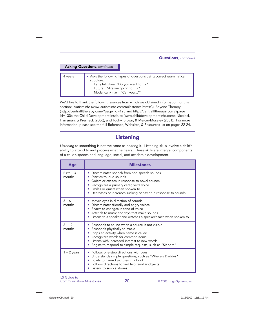#### **Asking Questions**, continued

| 4 years | • Asks the following types of questions using correct grammatical<br>structure: |
|---------|---------------------------------------------------------------------------------|
|         |                                                                                 |
|         | Early Infinitive: "Do you want to?"                                             |
|         | Future: "Are we going to ?"                                                     |
|         | Modal can/may: "Can you?"                                                       |
|         |                                                                                 |

We'd like to thank the following sources from which we obtained information for this section: AutismInfo (www.autisminfo.com/milestones.htm#C); Beyond Therapy (http://centralfltherapy.com/?page\_id=123 and http://centralfltherapy.com/?page\_ id=130); the Child Development Institute (www.childdevelopmentinfo.com); Nicolosi, Harryman, & Kresheck (2006); and Touhy, Brown, & Mercer-Moseley (2001). For more information, please see the full Reference, Websites, & Resources list on pages 22-24.

## **Listening**

Listening to something is not the same as hearing it. Listening skills involve a child's ability to attend to and process what he hears. These skills are integral components of a child's speech and language, social, and academic development.

| Age                 | <b>Milestones</b>                                                                                                                                                                                                                                                               |
|---------------------|---------------------------------------------------------------------------------------------------------------------------------------------------------------------------------------------------------------------------------------------------------------------------------|
| $Birth-3$<br>months | • Discriminates speech from non-speech sounds<br>Startles to loud sounds<br>Quiets or excites in response to novel sounds<br>Recognizes a primary caregiver's voice<br>Smiles or quiets when spoken to<br>Decreases or increases sucking behavior in response to sounds<br>۰    |
| $3 - 6$<br>months   | • Moves eyes in direction of sounds<br>Discriminates friendly and angry voices<br>$\bullet$<br>Reacts to changes in tone of voice<br>$\bullet$<br>Attends to music and toys that make sounds<br>$\bullet$<br>• Listens to a speaker and watches a speaker's face when spoken to |
| $6 - 12$<br>months  | Responds to sound when a source is not visible<br>Responds physically to music<br>Stops an activity when name is called<br>Recognizes words for common items<br>Listens with increased interest to new words<br>Begins to respond to simple requests, such as "Sit here"        |
| $1 - 2$ years       | • Follows one-step directions with cues<br>Understands simple questions, such as "Where's Daddy?"<br>۰<br>Points to named pictures in a book<br>Follows directions to find two familiar objects<br>Listens to simple stories<br>۰                                               |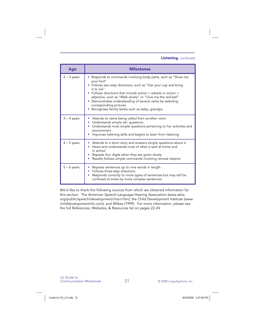#### **Listening**, continued

| Age           | <b>Milestones</b>                                                                                                                                                                                                                                                                                                                                                                                                                      |
|---------------|----------------------------------------------------------------------------------------------------------------------------------------------------------------------------------------------------------------------------------------------------------------------------------------------------------------------------------------------------------------------------------------------------------------------------------------|
| $2 - 3$ years | Responds to commands involving body parts, such as "Show me<br>your foot"<br>Follows two-step directions, such as "Get your cup and bring<br>it to me"<br>• Follows directions that include action $+$ adverb or action $+$<br>adjective, such as "Walk slowly" or "Give me the red ball"<br>Demonstrates understanding of several verbs by selecting<br>corresponding pictures<br>Recognizes family labels such as baby, grandpa<br>۰ |
| $3 - 4$ years | Attends to name being called from another room<br>۰<br>• Understands simple wh-questions<br>Understands most simple questions pertaining to her activities and<br>environment<br>Improves listening skills and begins to learn from listening                                                                                                                                                                                          |
| $4 - 5$ years | Attends to a short story and answers simple questions about it<br>Hears and understands most of what is said at home and<br>in school<br>Repeats four digits when they are given slowly<br>Readily follows simple commands involving remote objects                                                                                                                                                                                    |
| $5 - 6$ years | Repeats sentences up to nine words in length<br>Follows three-step directions<br>۰<br>Responds correctly to more types of sentences but may still be<br>confused at times by more complex sentences                                                                                                                                                                                                                                    |

We'd like to thank the following sources from which we obtained information for this section: The American Speech-Language-Hearing Association (www.asha. org/public/speech/development/chart.htm); the Child Development Institute (www. childdevelopmentinfo.com); and Wilkes (1999). For more information, please see the full References, Websites, & Resources list on pages 22-24.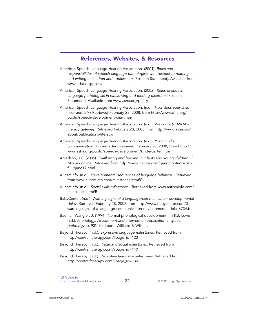## **References, Websites, & Resources**

- American Speech-Language-Hearing Association. (2001). Roles and responsibilities of speech-language pathologists with respect to reading and writing in children and adolescents [Position Statement]. Available from www.asha.org/policy
- American Speech-Language-Hearing Association. (2002). Roles of speechlanguage pathologists in swallowing and feeding disorders [Position Statement]. Available from www.asha.org/policy
- American Speech-Language-Hearing Association. (n.d.). How does your child hear and talk? Retrieved February 28, 2008, from http://www.asha.org/ public/speech/development/chart.htm
- American Speech-Language-Hearing Association. (n.d.). Welcome to ASHA's literacy gateway. Retrieved February 28, 2008, from http://www.asha.org/ about/publications/literacy/
- American Speech-Language-Hearing Association. (n.d.). Your child's communication: Kindergarten. Retrieved February 28, 2008, from http:// www.asha.org/public/speech/development/kindergarten.htm
- Arvedson, J.C. (2006). Swallowing and feeding in infants and young children. GI Motility online. Retrieved from http://www.nature.com/gimo/contents/pt1/ full/gimo17.html
- AutismInfo. (n.d.). Developmental sequences of language behavior. Retrieved from www.autisminfo.com/milestones.htm#C
- AutismInfo. (n.d.). Social skills milestones. Retrieved from www.autisminfo.com/ milestones.htm#B
- BabyCenter. (n.d.). Warning signs of a language/communication developmental delay. Retrieved February 28, 2008, from http://www.babycenter.com/0\_ warning-signs-of-a-language-communication-developmental-dela\_6734.bc
- Bauman-Wangler, J. (1994). Normal phonological development. In R.J. Lowe (Ed.), Phonology: Assessment and intervention application in speech pathology (p. 93). Baltimore: Williams & Wilkins.
- Beyond Therapy. (n.d.). Expressive language milestones. Retrieved from http://centralfltherapy.com/?page\_id=123
- Beyond Therapy. (n.d.). Pragmatic/social milestones. Retrieved from http://centralfltherapy.com/?page\_id=140
- Beyond Therapy. (n.d.). Receptive language milestones. Retrieved from http://centralfltherapy.com/?page\_id=130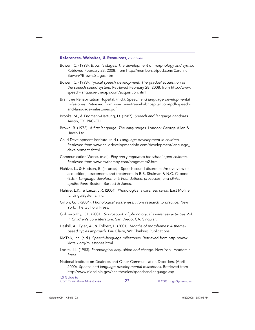#### **References, Websites, & Resources**, continued

- Bowen, C. (1998). Brown's stages: The development of morphology and syntax. Retrieved February 28, 2008, from http://members.tripod.com/Caroline\_ Bowen/?BrownsStages.htm
- Bowen, C. (1998). Typical speech development: The gradual acquisition of the speech sound system. Retrieved February 28, 2008, from http://www. speech-language-therapy.com/acquisition.html
- Braintree Rehabilitation Hopsital. (n.d.). Speech and language developmental milestones. Retrieved from www.braintreerehabhospital.com/pdf/speechand-language-milestones.pdf
- Brooks, M., & Engmann-Hartung, D. (1987). Speech and language handouts. Austin, TX: PRO-ED.
- Brown, R. (1973). A first language: The early stages. London: George Allen & Unwin Ltd.
- Child Development Institute. (n.d.). Language development in children. Retrieved from www.childdevelopmentinfo.com/development/language\_ development.shtml
- Communication Works. (n.d.). Play and pragmatics for school aged children. Retrieved from www.cwtherapy.com/pragmatics2.html
- Flahive, L., & Hodson, B. (in press). Speech sound disorders: An overview of acquisition, assessment, and treatment. In B.B. Shulman & N.C. Capone (Eds.), Language development: Foundations, processes, and clinical applications. Boston: Bartlett & Jones.
- Flahive, L.K., & Lanza, J.R. (2004). Phonological awareness cards. East Moline, IL: LinguiSystems, Inc.
- Gillon, G.T. (2004). Phonological awareness: From research to practice. New York: The Guilford Press.
- Goldsworthy, C.L. (2001). Sourcebook of phonological awareness activities Vol. II: Children's core literature. San Diego, CA: Singular.
- Haskill, A., Tyler, A., & Tolbert, L. (2001). Months of morphemes: A themebased cycles approach. Eau Claire, WI: Thinking Publications.
- KidTalk, Inc. (n.d.). Speech-language milestones. Retrieved from http://www. kidtalk.org/milestones.html
- Locke, J.L. (1983). Phonological acquisition and change. New York: Academic Press.
- National Institute on Deafness and Other Communication Disorders. (April 2000). Speech and language developmental milestones. Retrieved from http://www.nidcd.nih.gov/health/voice/speechandlanguage.asp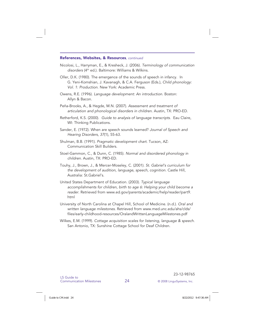#### **References, Websites, & Resources**, continued

- Nicolosi, L., Harryman, E., & Kresheck, J. (2006). Terminology of communication disorders (4th ed.). Baltimore: Williams & Wilkins.
- Oller, D.K. (1980). The emergence of the sounds of speech in infancy. In G. Yeni-Komshian, J. Kavanagh, & C.A. Ferguson (Eds.), Child phonology: Vol. 1: Production. New York: Academic Press.
- Owens, R.E. (1996). Language development: An introduction. Boston: Allyn & Bacon.
- Peña-Brooks, A., & Hegde, M.N. (2007). Assessment and treatment of articulation and phonological disorders in children. Austin, TX: PRO-ED.
- Retherford, K.S. (2000). Guide to analysis of language transcripts. Eau Claire, WI: Thinking Publications.
- Sander, E. (1972). When are speech sounds learned? Journal of Speech and Hearing Disorders, 37(1), 55-63.
- Shulman, B.B. (1991). Pragmatic development chart. Tucson, AZ: Communication Skill Builders.
- Stoel-Gammon, C., & Dunn, C. (1985). Normal and disordered phonology in children. Austin, TX: PRO-ED.
- Touhy, J., Brown, J., & Mercer-Moseley, C. (2001). St. Gabriel's curriculum for the development of audition, language, speech, cognition. Castle Hill, Australia: St.Gabriel's.
- United States Department of Education. (2003). Typical language accomplishments for children, birth to age 6: Helping your child become a reader. Retrieved from www.ed.gov/parents/academic/help/reader/part9. html
- University of North Carolina at Chapel Hill, School of Medicine. (n.d.). Oral and written language milestones. Retrieved from www.med.unc.edu/ahs/clds/ files/early-childhood-resources/OralandWrittenLanguageMilestones.pdf
- Wilkes, E.M. (1999). Cottage acquisition scales for listening, language & speech. San Antonio, TX: Sunshine Cottage School for Deaf Children.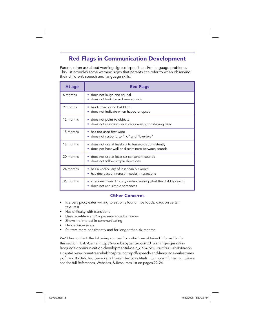## **Red Flags in Communication Development**

Parents often ask about warning signs of speech and/or language problems. This list provides some warning signs that parents can refer to when observing their children's speech and language skills.

| At age    | <b>Red Flags</b>                                                                                           |
|-----------|------------------------------------------------------------------------------------------------------------|
| 6 months  | • does not laugh and squeal<br>• does not look toward new sounds                                           |
| 9 months  | has limited or no babbling<br>• does not indicate when happy or upset                                      |
| 12 months | does not point to objects<br>does not use gestures such as waving or shaking head                          |
| 15 months | has not used first word<br>• does not respond to "no" and "bye-bye"                                        |
| 18 months | does not use at least six to ten words consistently<br>• does not hear well or discriminate between sounds |
| 20 months | does not use at least six consonant sounds<br>• does not follow simple directions                          |
| 24 months | has a vocabulary of less than 50 words<br>has decreased interest in social interactions                    |
| 36 months | strangers have difficulty understanding what the child is saying<br>• does not use simple sentences        |

#### **Other Concerns**

- Is a very picky eater (willing to eat only four or five foods, gags on certain textures)
- Has difficulty with transitions
- Uses repetitive and/or perseverative behaviors
- Shows no interest in communicating
- Drools excessively
- Stutters more consistently and for longer than six months

We'd like to thank the following sources from which we obtained information for this section: BabyCenter (http://www.babycenter.com/0\_warning-signs-of-alanguage-communication-developmental-dela\_6734.bc); Braintree Rehabilitation Hospital (www.braintreerehabhospital.com/pdf/speech-and-language-milestones. pdf); and KidTalk, Inc. (www.kidtalk.org/milestones.html). For more information, please see the full References, Websites, & Resources list on pages 22-24.